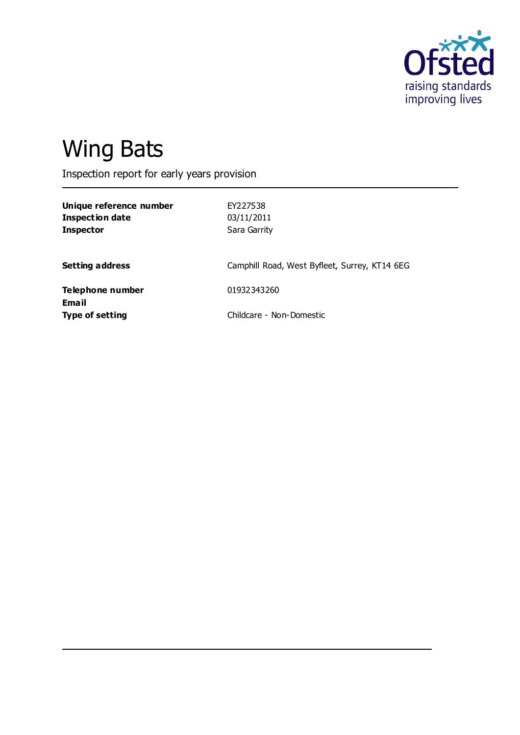

# Wing Bats

Inspection report for early years provision

| Unique reference number<br><b>Inspection date</b><br><b>Inspector</b> | EY227538<br>03/11/2011<br>Sara Garrity        |
|-----------------------------------------------------------------------|-----------------------------------------------|
| <b>Setting address</b>                                                | Camphill Road, West Byfleet, Surrey, KT14 6EG |
| <b>Telephone number</b>                                               | 01932343260                                   |
| <b>Email</b><br><b>Type of setting</b>                                | Childcare - Non-Domestic                      |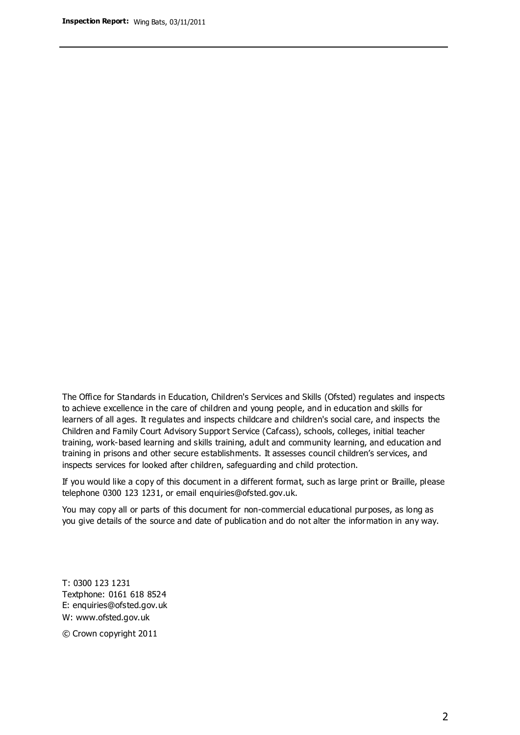The Office for Standards in Education, Children's Services and Skills (Ofsted) regulates and inspects to achieve excellence in the care of children and young people, and in education and skills for learners of all ages. It regulates and inspects childcare and children's social care, and inspects the Children and Family Court Advisory Support Service (Cafcass), schools, colleges, initial teacher training, work-based learning and skills training, adult and community learning, and education and training in prisons and other secure establishments. It assesses council children's services, and inspects services for looked after children, safeguarding and child protection.

If you would like a copy of this document in a different format, such as large print or Braille, please telephone 0300 123 1231, or email enquiries@ofsted.gov.uk.

You may copy all or parts of this document for non-commercial educational purposes, as long as you give details of the source and date of publication and do not alter the information in any way.

T: 0300 123 1231 Textphone: 0161 618 8524 E: enquiries@ofsted.gov.uk W: [www.ofsted.gov.uk](http://www.ofsted.gov.uk/)

© Crown copyright 2011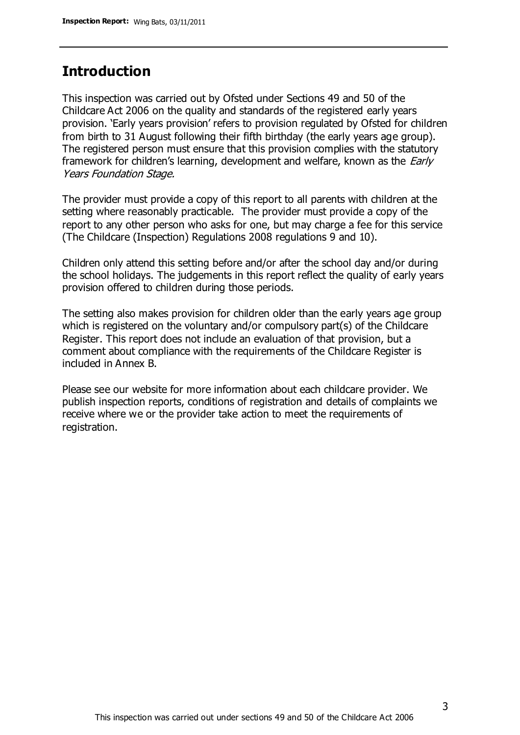## **Introduction**

This inspection was carried out by Ofsted under Sections 49 and 50 of the Childcare Act 2006 on the quality and standards of the registered early years provision. 'Early years provision' refers to provision regulated by Ofsted for children from birth to 31 August following their fifth birthday (the early years age group). The registered person must ensure that this provision complies with the statutory framework for children's learning, development and welfare, known as the *Early* Years Foundation Stage.

The provider must provide a copy of this report to all parents with children at the setting where reasonably practicable. The provider must provide a copy of the report to any other person who asks for one, but may charge a fee for this service (The Childcare (Inspection) Regulations 2008 regulations 9 and 10).

Children only attend this setting before and/or after the school day and/or during the school holidays. The judgements in this report reflect the quality of early years provision offered to children during those periods.

The setting also makes provision for children older than the early years age group which is registered on the voluntary and/or compulsory part(s) of the Childcare Register. This report does not include an evaluation of that provision, but a comment about compliance with the requirements of the Childcare Register is included in Annex B.

Please see our website for more information about each childcare provider. We publish inspection reports, conditions of registration and details of complaints we receive where we or the provider take action to meet the requirements of registration.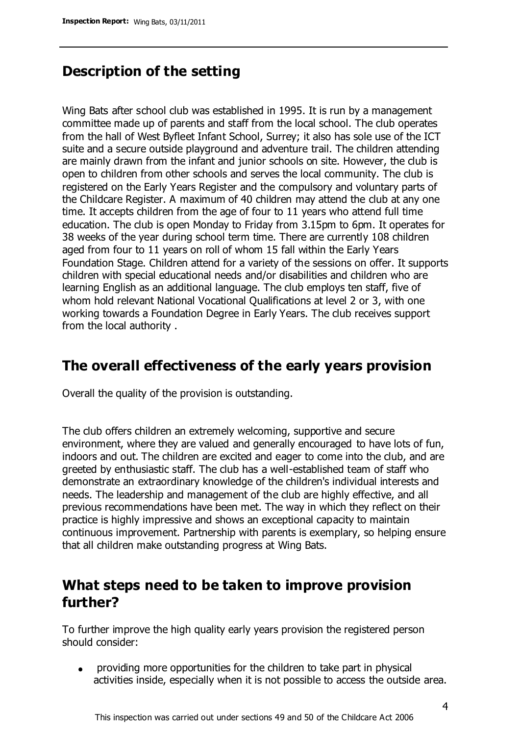# **Description of the setting**

Wing Bats after school club was established in 1995. It is run by a management committee made up of parents and staff from the local school. The club operates from the hall of West Byfleet Infant School, Surrey; it also has sole use of the ICT suite and a secure outside playground and adventure trail. The children attending are mainly drawn from the infant and junior schools on site. However, the club is open to children from other schools and serves the local community. The club is registered on the Early Years Register and the compulsory and voluntary parts of the Childcare Register. A maximum of 40 children may attend the club at any one time. It accepts children from the age of four to 11 years who attend full time education. The club is open Monday to Friday from 3.15pm to 6pm. It operates for 38 weeks of the year during school term time. There are currently 108 children aged from four to 11 years on roll of whom 15 fall within the Early Years Foundation Stage. Children attend for a variety of the sessions on offer. It supports children with special educational needs and/or disabilities and children who are learning English as an additional language. The club employs ten staff, five of whom hold relevant National Vocational Qualifications at level 2 or 3, with one working towards a Foundation Degree in Early Years. The club receives support from the local authority .

# **The overall effectiveness of the early years provision**

Overall the quality of the provision is outstanding.

The club offers children an extremely welcoming, supportive and secure environment, where they are valued and generally encouraged to have lots of fun, indoors and out. The children are excited and eager to come into the club, and are greeted by enthusiastic staff. The club has a well-established team of staff who demonstrate an extraordinary knowledge of the children's individual interests and needs. The leadership and management of the club are highly effective, and all previous recommendations have been met. The way in which they reflect on their practice is highly impressive and shows an exceptional capacity to maintain continuous improvement. Partnership with parents is exemplary, so helping ensure that all children make outstanding progress at Wing Bats.

# **What steps need to be taken to improve provision further?**

To further improve the high quality early years provision the registered person should consider:

providing more opportunities for the children to take part in physical  $\bullet$ activities inside, especially when it is not possible to access the outside area.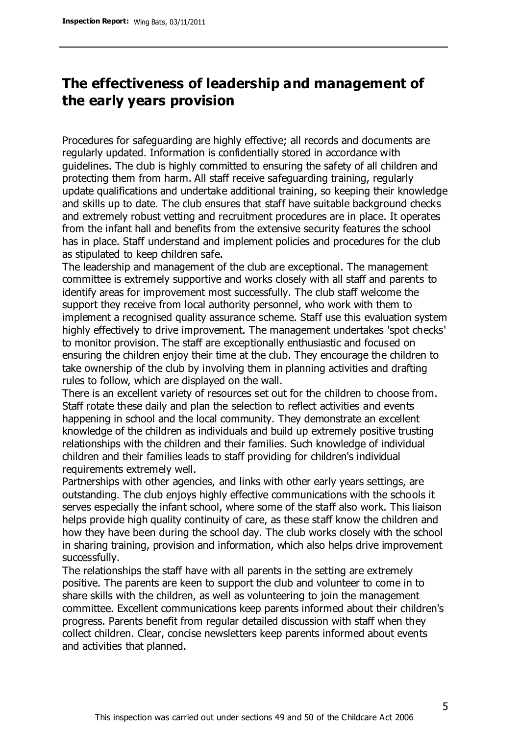# **The effectiveness of leadership and management of the early years provision**

Procedures for safeguarding are highly effective; all records and documents are regularly updated. Information is confidentially stored in accordance with guidelines. The club is highly committed to ensuring the safety of all children and protecting them from harm. All staff receive safeguarding training, regularly update qualifications and undertake additional training, so keeping their knowledge and skills up to date. The club ensures that staff have suitable background checks and extremely robust vetting and recruitment procedures are in place. It operates from the infant hall and benefits from the extensive security features the school has in place. Staff understand and implement policies and procedures for the club as stipulated to keep children safe.

The leadership and management of the club are exceptional. The management committee is extremely supportive and works closely with all staff and parents to identify areas for improvement most successfully. The club staff welcome the support they receive from local authority personnel, who work with them to implement a recognised quality assurance scheme. Staff use this evaluation system highly effectively to drive improvement. The management undertakes 'spot checks' to monitor provision. The staff are exceptionally enthusiastic and focused on ensuring the children enjoy their time at the club. They encourage the children to take ownership of the club by involving them in planning activities and drafting rules to follow, which are displayed on the wall.

There is an excellent variety of resources set out for the children to choose from. Staff rotate these daily and plan the selection to reflect activities and events happening in school and the local community. They demonstrate an excellent knowledge of the children as individuals and build up extremely positive trusting relationships with the children and their families. Such knowledge of individual children and their families leads to staff providing for children's individual requirements extremely well.

Partnerships with other agencies, and links with other early years settings, are outstanding. The club enjoys highly effective communications with the schools it serves especially the infant school, where some of the staff also work. This liaison helps provide high quality continuity of care, as these staff know the children and how they have been during the school day. The club works closely with the school in sharing training, provision and information, which also helps drive improvement successfully.

The relationships the staff have with all parents in the setting are extremely positive. The parents are keen to support the club and volunteer to come in to share skills with the children, as well as volunteering to join the management committee. Excellent communications keep parents informed about their children's progress. Parents benefit from regular detailed discussion with staff when they collect children. Clear, concise newsletters keep parents informed about events and activities that planned.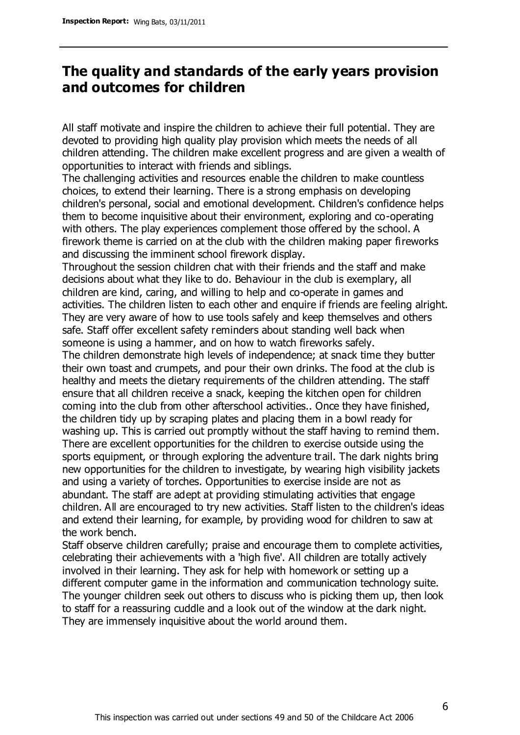# **The quality and standards of the early years provision and outcomes for children**

All staff motivate and inspire the children to achieve their full potential. They are devoted to providing high quality play provision which meets the needs of all children attending. The children make excellent progress and are given a wealth of opportunities to interact with friends and siblings.

The challenging activities and resources enable the children to make countless choices, to extend their learning. There is a strong emphasis on developing children's personal, social and emotional development. Children's confidence helps them to become inquisitive about their environment, exploring and co-operating with others. The play experiences complement those offered by the school. A firework theme is carried on at the club with the children making paper fireworks and discussing the imminent school firework display.

Throughout the session children chat with their friends and the staff and make decisions about what they like to do. Behaviour in the club is exemplary, all children are kind, caring, and willing to help and co-operate in games and activities. The children listen to each other and enquire if friends are feeling alright. They are very aware of how to use tools safely and keep themselves and others safe. Staff offer excellent safety reminders about standing well back when someone is using a hammer, and on how to watch fireworks safely.

The children demonstrate high levels of independence; at snack time they butter their own toast and crumpets, and pour their own drinks. The food at the club is healthy and meets the dietary requirements of the children attending. The staff ensure that all children receive a snack, keeping the kitchen open for children coming into the club from other afterschool activities.. Once they have finished, the children tidy up by scraping plates and placing them in a bowl ready for washing up. This is carried out promptly without the staff having to remind them. There are excellent opportunities for the children to exercise outside using the sports equipment, or through exploring the adventure trail. The dark nights bring new opportunities for the children to investigate, by wearing high visibility jackets and using a variety of torches. Opportunities to exercise inside are not as abundant. The staff are adept at providing stimulating activities that engage children. All are encouraged to try new activities. Staff listen to the children's ideas and extend their learning, for example, by providing wood for children to saw at the work bench.

Staff observe children carefully; praise and encourage them to complete activities, celebrating their achievements with a 'high five'. All children are totally actively involved in their learning. They ask for help with homework or setting up a different computer game in the information and communication technology suite. The younger children seek out others to discuss who is picking them up, then look to staff for a reassuring cuddle and a look out of the window at the dark night. They are immensely inquisitive about the world around them.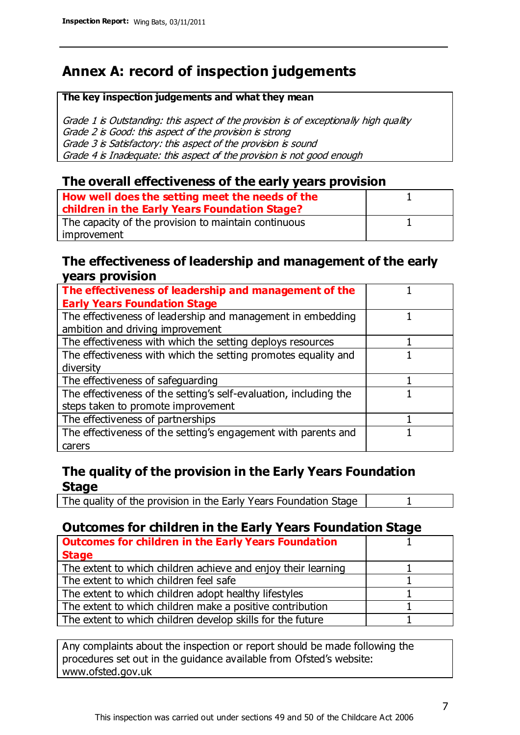# **Annex A: record of inspection judgements**

#### **The key inspection judgements and what they mean**

Grade 1 is Outstanding: this aspect of the provision is of exceptionally high quality Grade 2 is Good: this aspect of the provision is strong Grade 3 is Satisfactory: this aspect of the provision is sound Grade 4 is Inadequate: this aspect of the provision is not good enough

### **The overall effectiveness of the early years provision**

| How well does the setting meet the needs of the      |  |
|------------------------------------------------------|--|
| children in the Early Years Foundation Stage?        |  |
| The capacity of the provision to maintain continuous |  |
| improvement                                          |  |

#### **The effectiveness of leadership and management of the early years provision**

| The effectiveness of leadership and management of the             |  |
|-------------------------------------------------------------------|--|
| <b>Early Years Foundation Stage</b>                               |  |
| The effectiveness of leadership and management in embedding       |  |
| ambition and driving improvement                                  |  |
| The effectiveness with which the setting deploys resources        |  |
| The effectiveness with which the setting promotes equality and    |  |
| diversity                                                         |  |
| The effectiveness of safeguarding                                 |  |
| The effectiveness of the setting's self-evaluation, including the |  |
| steps taken to promote improvement                                |  |
| The effectiveness of partnerships                                 |  |
| The effectiveness of the setting's engagement with parents and    |  |
| carers                                                            |  |

## **The quality of the provision in the Early Years Foundation Stage**

The quality of the provision in the Early Years Foundation Stage | 1

## **Outcomes for children in the Early Years Foundation Stage**

| <b>Outcomes for children in the Early Years Foundation</b>    |  |
|---------------------------------------------------------------|--|
| <b>Stage</b>                                                  |  |
| The extent to which children achieve and enjoy their learning |  |
| The extent to which children feel safe                        |  |
| The extent to which children adopt healthy lifestyles         |  |
| The extent to which children make a positive contribution     |  |
| The extent to which children develop skills for the future    |  |

Any complaints about the inspection or report should be made following the procedures set out in the guidance available from Ofsted's website: www.ofsted.gov.uk